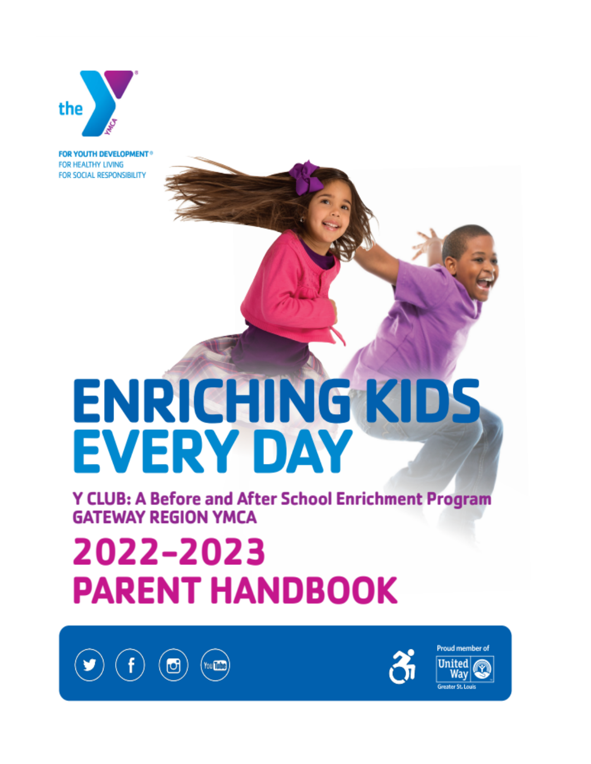

**FOR YOUTH DEVELOPMENT®** FOR HEALTHY LIVING FOR SOCIAL RESPONSIBILITY

# ENRICHING KIDS **EVERY DAY**

**Y CLUB: A Before and After School Enrichment Program GATEWAY REGION YMCA** 

# 2022-2023 **PARENT HANDBOOK**





Proud member of **United** Wav **Greater St. Loui**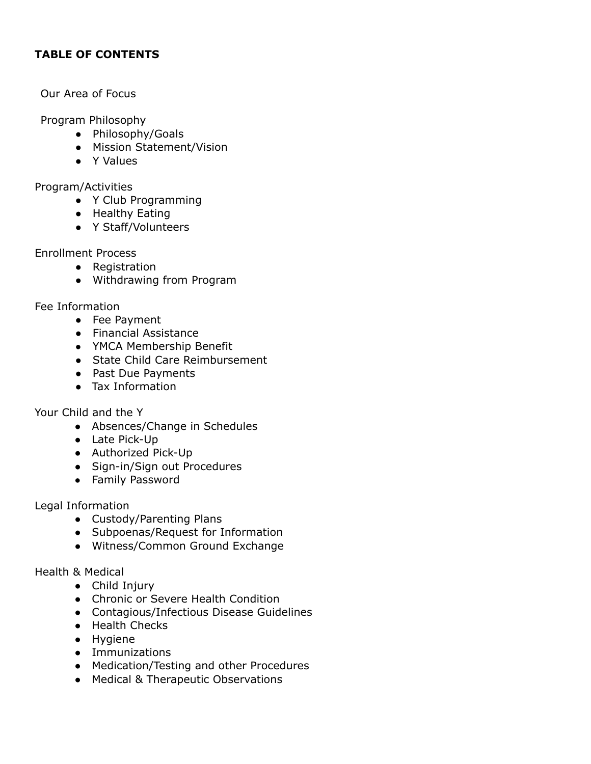## **TABLE OF CONTENTS**

#### Our Area of Focus

Program Philosophy

- Philosophy/Goals
- Mission Statement/Vision
- Y Values

Program/Activities

- Y Club Programming
- Healthy Eating
- Y Staff/Volunteers

Enrollment Process

- Registration
- Withdrawing from Program

Fee Information

- Fee Payment
- Financial Assistance
- YMCA Membership Benefit
- State Child Care Reimbursement
- Past Due Payments
- Tax Information

Your Child and the Y

- Absences/Change in Schedules
- Late Pick-Up
- Authorized Pick-Up
- Sign-in/Sign out Procedures
- Family Password

Legal Information

- Custody/Parenting Plans
- Subpoenas/Request for Information
- Witness/Common Ground Exchange

Health & Medical

- Child Injury
- Chronic or Severe Health Condition
- Contagious/Infectious Disease Guidelines
- Health Checks
- Hygiene
- Immunizations
- Medication/Testing and other Procedures
- Medical & Therapeutic Observations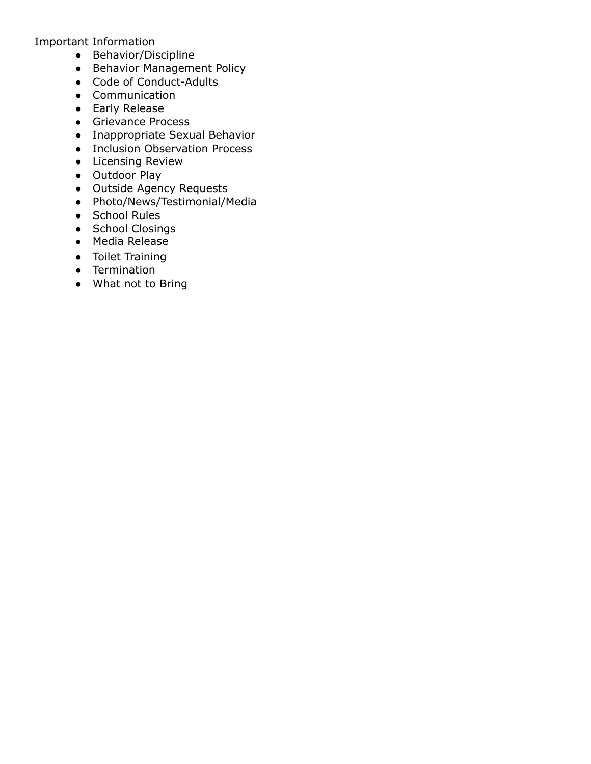Important Information

- Behavior/Discipline
- Behavior Management Policy
- Code of Conduct-Adults
- Communication
- Early Release
- Grievance Process
- Inappropriate Sexual Behavior
- Inclusion Observation Process
- Licensing Review
- Outdoor Play
- Outside Agency Requests
- Photo/News/Testimonial/Media
- School Rules
- School Closings
- Media Release
- Toilet Training
- Termination
- What not to Bring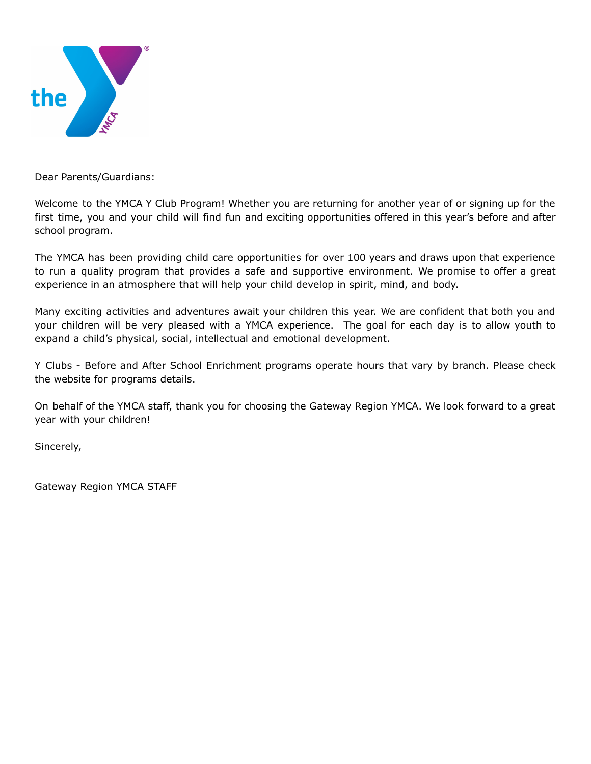

Dear Parents/Guardians:

Welcome to the YMCA Y Club Program! Whether you are returning for another year of or signing up for the first time, you and your child will find fun and exciting opportunities offered in this year's before and after school program.

The YMCA has been providing child care opportunities for over 100 years and draws upon that experience to run a quality program that provides a safe and supportive environment. We promise to offer a great experience in an atmosphere that will help your child develop in spirit, mind, and body.

Many exciting activities and adventures await your children this year. We are confident that both you and your children will be very pleased with a YMCA experience. The goal for each day is to allow youth to expand a child's physical, social, intellectual and emotional development.

Y Clubs - Before and After School Enrichment programs operate hours that vary by branch. Please check the website for programs details.

On behalf of the YMCA staff, thank you for choosing the Gateway Region YMCA. We look forward to a great year with your children!

Sincerely,

Gateway Region YMCA STAFF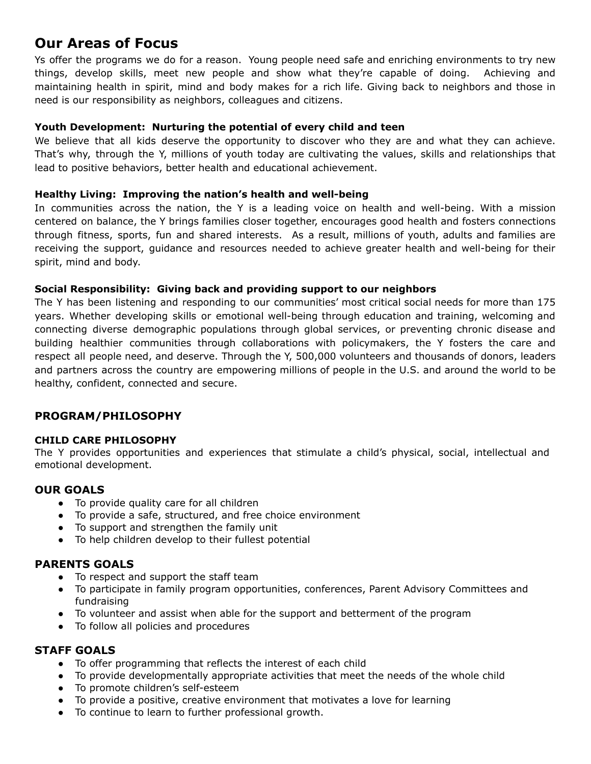# **Our Areas of Focus**

Ys offer the programs we do for a reason. Young people need safe and enriching environments to try new things, develop skills, meet new people and show what they're capable of doing. Achieving and maintaining health in spirit, mind and body makes for a rich life. Giving back to neighbors and those in need is our responsibility as neighbors, colleagues and citizens.

#### **Youth Development: Nurturing the potential of every child and teen**

We believe that all kids deserve the opportunity to discover who they are and what they can achieve. That's why, through the Y, millions of youth today are cultivating the values, skills and relationships that lead to positive behaviors, better health and educational achievement.

#### **Healthy Living: Improving the nation's health and well-being**

In communities across the nation, the Y is a leading voice on health and well-being. With a mission centered on balance, the Y brings families closer together, encourages good health and fosters connections through fitness, sports, fun and shared interests. As a result, millions of youth, adults and families are receiving the support, guidance and resources needed to achieve greater health and well-being for their spirit, mind and body.

#### **Social Responsibility: Giving back and providing support to our neighbors**

The Y has been listening and responding to our communities' most critical social needs for more than 175 years. Whether developing skills or emotional well-being through education and training, welcoming and connecting diverse demographic populations through global services, or preventing chronic disease and building healthier communities through collaborations with policymakers, the Y fosters the care and respect all people need, and deserve. Through the Y, 500,000 volunteers and thousands of donors, leaders and partners across the country are empowering millions of people in the U.S. and around the world to be healthy, confident, connected and secure.

#### **PROGRAM/PHILOSOPHY**

#### **CHILD CARE PHILOSOPHY**

The Y provides opportunities and experiences that stimulate a child's physical, social, intellectual and emotional development.

#### **OUR GOALS**

- To provide quality care for all children
- To provide a safe, structured, and free choice environment
- To support and strengthen the family unit
- To help children develop to their fullest potential

#### **PARENTS GOALS**

- To respect and support the staff team
- To participate in family program opportunities, conferences, Parent Advisory Committees and fundraising
- To volunteer and assist when able for the support and betterment of the program
- To follow all policies and procedures

#### **STAFF GOALS**

- To offer programming that reflects the interest of each child
- To provide developmentally appropriate activities that meet the needs of the whole child
- To promote children's self-esteem
- To provide a positive, creative environment that motivates a love for learning
- To continue to learn to further professional growth.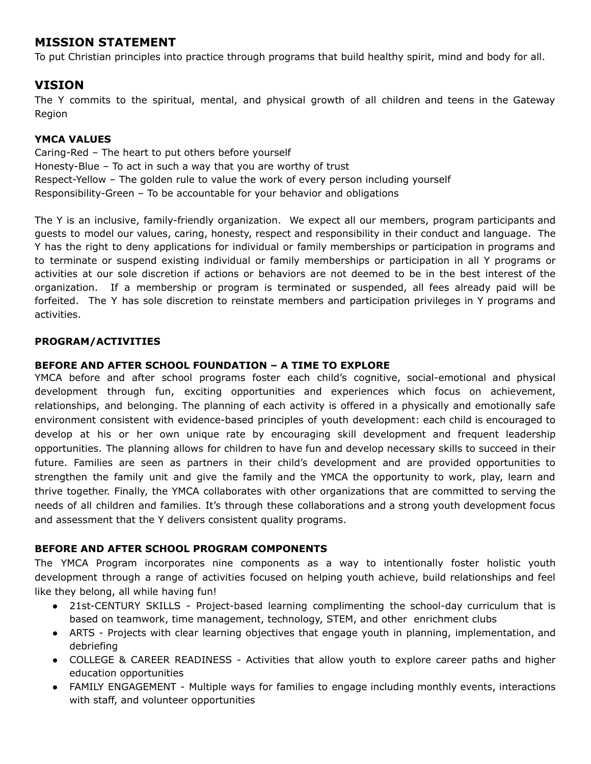# **MISSION STATEMENT**

To put Christian principles into practice through programs that build healthy spirit, mind and body for all.

# **VISION**

The Y commits to the spiritual, mental, and physical growth of all children and teens in the Gateway Region

#### **YMCA VALUES**

Caring-Red – The heart to put others before yourself Honesty-Blue – To act in such a way that you are worthy of trust Respect-Yellow – The golden rule to value the work of every person including yourself Responsibility-Green – To be accountable for your behavior and obligations

The Y is an inclusive, family-friendly organization. We expect all our members, program participants and guests to model our values, caring, honesty, respect and responsibility in their conduct and language. The Y has the right to deny applications for individual or family memberships or participation in programs and to terminate or suspend existing individual or family memberships or participation in all Y programs or activities at our sole discretion if actions or behaviors are not deemed to be in the best interest of the organization. If a membership or program is terminated or suspended, all fees already paid will be forfeited. The Y has sole discretion to reinstate members and participation privileges in Y programs and activities.

#### **PROGRAM/ACTIVITIES**

#### **BEFORE AND AFTER SCHOOL FOUNDATION – A TIME TO EXPLORE**

YMCA before and after school programs foster each child's cognitive, social-emotional and physical development through fun, exciting opportunities and experiences which focus on achievement, relationships, and belonging. The planning of each activity is offered in a physically and emotionally safe environment consistent with evidence-based principles of youth development: each child is encouraged to develop at his or her own unique rate by encouraging skill development and frequent leadership opportunities. The planning allows for children to have fun and develop necessary skills to succeed in their future. Families are seen as partners in their child's development and are provided opportunities to strengthen the family unit and give the family and the YMCA the opportunity to work, play, learn and thrive together. Finally, the YMCA collaborates with other organizations that are committed to serving the needs of all children and families. It's through these collaborations and a strong youth development focus and assessment that the Y delivers consistent quality programs.

#### **BEFORE AND AFTER SCHOOL PROGRAM COMPONENTS**

The YMCA Program incorporates nine components as a way to intentionally foster holistic youth development through a range of activities focused on helping youth achieve, build relationships and feel like they belong, all while having fun!

- 21st-CENTURY SKILLS Project-based learning complimenting the school-day curriculum that is based on teamwork, time management, technology, STEM, and other enrichment clubs
- ARTS Projects with clear learning objectives that engage youth in planning, implementation, and debriefing
- COLLEGE & CAREER READINESS Activities that allow youth to explore career paths and higher education opportunities
- FAMILY ENGAGEMENT Multiple ways for families to engage including monthly events, interactions with staff, and volunteer opportunities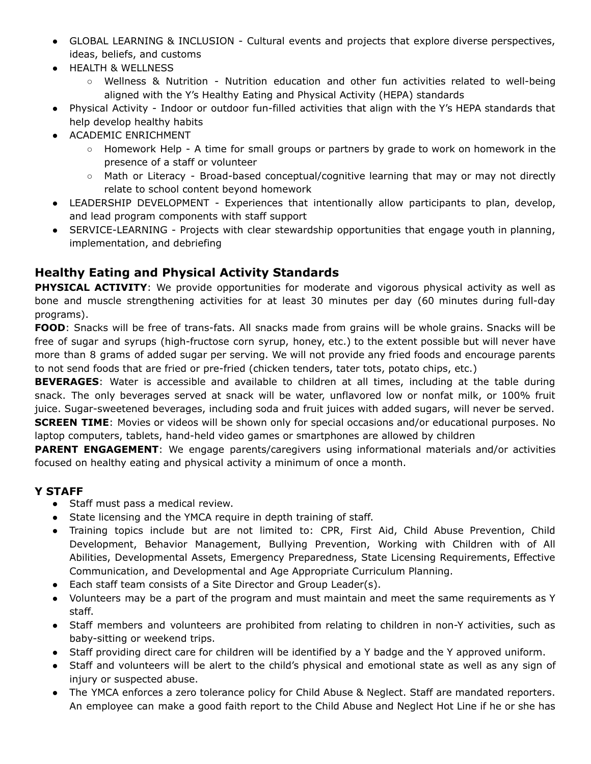- GLOBAL LEARNING & INCLUSION Cultural events and projects that explore diverse perspectives, ideas, beliefs, and customs
- HEALTH & WELLNESS
	- Wellness & Nutrition Nutrition education and other fun activities related to well-being aligned with the Y's Healthy Eating and Physical Activity (HEPA) standards
- Physical Activity Indoor or outdoor fun-filled activities that align with the Y's HEPA standards that help develop healthy habits
- ACADEMIC ENRICHMENT
	- Homework Help A time for small groups or partners by grade to work on homework in the presence of a staff or volunteer
	- Math or Literacy Broad-based conceptual/cognitive learning that may or may not directly relate to school content beyond homework
- LEADERSHIP DEVELOPMENT Experiences that intentionally allow participants to plan, develop, and lead program components with staff support
- SERVICE-LEARNING Projects with clear stewardship opportunities that engage youth in planning, implementation, and debriefing

# **Healthy Eating and Physical Activity Standards**

**PHYSICAL ACTIVITY**: We provide opportunities for moderate and vigorous physical activity as well as bone and muscle strengthening activities for at least 30 minutes per day (60 minutes during full-day programs).

**FOOD**: Snacks will be free of trans-fats. All snacks made from grains will be whole grains. Snacks will be free of sugar and syrups (high-fructose corn syrup, honey, etc.) to the extent possible but will never have more than 8 grams of added sugar per serving. We will not provide any fried foods and encourage parents to not send foods that are fried or pre-fried (chicken tenders, tater tots, potato chips, etc.)

**BEVERAGES**: Water is accessible and available to children at all times, including at the table during snack. The only beverages served at snack will be water, unflavored low or nonfat milk, or 100% fruit juice. Sugar-sweetened beverages, including soda and fruit juices with added sugars, will never be served. **SCREEN TIME**: Movies or videos will be shown only for special occasions and/or educational purposes. No

laptop computers, tablets, hand-held video games or smartphones are allowed by children

**PARENT ENGAGEMENT:** We engage parents/caregivers using informational materials and/or activities focused on healthy eating and physical activity a minimum of once a month.

### **Y STAFF**

- Staff must pass a medical review.
- State licensing and the YMCA require in depth training of staff.
- Training topics include but are not limited to: CPR, First Aid, Child Abuse Prevention, Child Development, Behavior Management, Bullying Prevention, Working with Children with of All Abilities, Developmental Assets, Emergency Preparedness, State Licensing Requirements, Effective Communication, and Developmental and Age Appropriate Curriculum Planning.
- Each staff team consists of a Site Director and Group Leader(s).
- Volunteers may be a part of the program and must maintain and meet the same requirements as Y staff.
- Staff members and volunteers are prohibited from relating to children in non-Y activities, such as baby-sitting or weekend trips.
- Staff providing direct care for children will be identified by a Y badge and the Y approved uniform.
- Staff and volunteers will be alert to the child's physical and emotional state as well as any sign of injury or suspected abuse.
- The YMCA enforces a zero tolerance policy for Child Abuse & Neglect. Staff are mandated reporters. An employee can make a good faith report to the Child Abuse and Neglect Hot Line if he or she has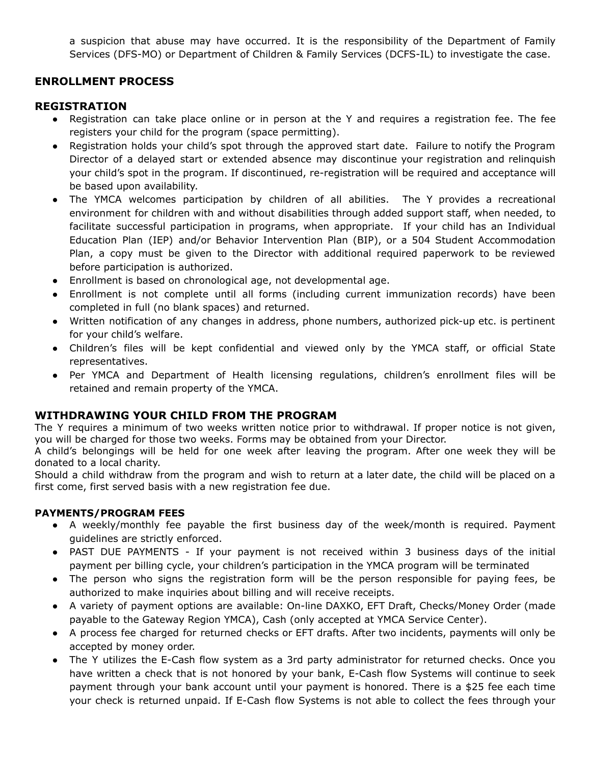a suspicion that abuse may have occurred. It is the responsibility of the Department of Family Services (DFS-MO) or Department of Children & Family Services (DCFS-IL) to investigate the case.

## **ENROLLMENT PROCESS**

#### **REGISTRATION**

- Registration can take place online or in person at the Y and requires a registration fee. The fee registers your child for the program (space permitting).
- Registration holds your child's spot through the approved start date. Failure to notify the Program Director of a delayed start or extended absence may discontinue your registration and relinquish your child's spot in the program. If discontinued, re-registration will be required and acceptance will be based upon availability.
- The YMCA welcomes participation by children of all abilities. The Y provides a recreational environment for children with and without disabilities through added support staff, when needed, to facilitate successful participation in programs, when appropriate. If your child has an Individual Education Plan (IEP) and/or Behavior Intervention Plan (BIP), or a 504 Student Accommodation Plan, a copy must be given to the Director with additional required paperwork to be reviewed before participation is authorized.
- Enrollment is based on chronological age, not developmental age.
- Enrollment is not complete until all forms (including current immunization records) have been completed in full (no blank spaces) and returned.
- Written notification of any changes in address, phone numbers, authorized pick-up etc. is pertinent for your child's welfare.
- Children's files will be kept confidential and viewed only by the YMCA staff, or official State representatives.
- Per YMCA and Department of Health licensing regulations, children's enrollment files will be retained and remain property of the YMCA.

### **WITHDRAWING YOUR CHILD FROM THE PROGRAM**

The Y requires a minimum of two weeks written notice prior to withdrawal. If proper notice is not given, you will be charged for those two weeks. Forms may be obtained from your Director.

A child's belongings will be held for one week after leaving the program. After one week they will be donated to a local charity.

Should a child withdraw from the program and wish to return at a later date, the child will be placed on a first come, first served basis with a new registration fee due.

#### **PAYMENTS/PROGRAM FEES**

- A weekly/monthly fee payable the first business day of the week/month is required. Payment guidelines are strictly enforced.
- PAST DUE PAYMENTS If your payment is not received within 3 business days of the initial payment per billing cycle, your children's participation in the YMCA program will be terminated
- The person who signs the registration form will be the person responsible for paying fees, be authorized to make inquiries about billing and will receive receipts.
- A variety of payment options are available: On-line DAXKO, EFT Draft, Checks/Money Order (made payable to the Gateway Region YMCA), Cash (only accepted at YMCA Service Center).
- A process fee charged for returned checks or EFT drafts. After two incidents, payments will only be accepted by money order.
- The Y utilizes the E-Cash flow system as a 3rd party administrator for returned checks. Once you have written a check that is not honored by your bank, E-Cash flow Systems will continue to seek payment through your bank account until your payment is honored. There is a \$25 fee each time your check is returned unpaid. If E-Cash flow Systems is not able to collect the fees through your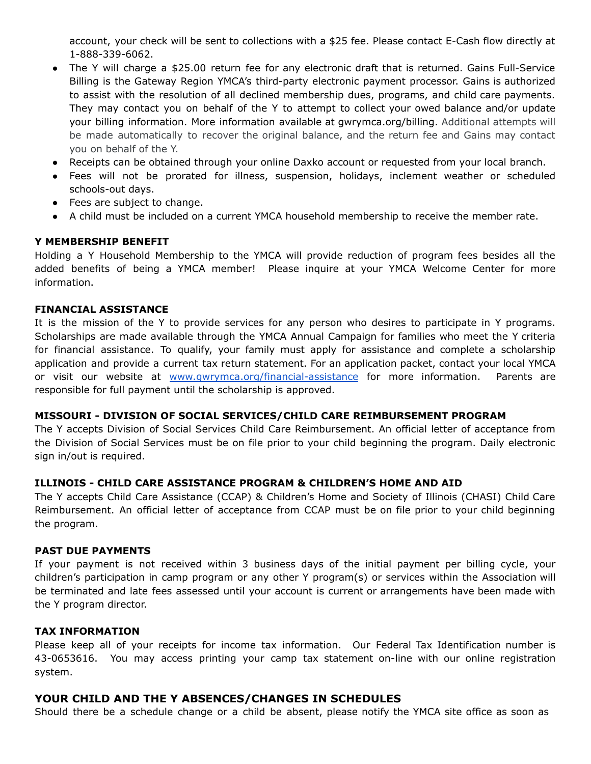account, your check will be sent to collections with a \$25 fee. Please contact E-Cash flow directly at 1-888-339-6062.

- The Y will charge a \$25.00 return fee for any electronic draft that is returned. Gains Full-Service Billing is the Gateway Region YMCA's third-party electronic payment processor. Gains is authorized to assist with the resolution of all declined membership dues, programs, and child care payments. They may contact you on behalf of the Y to attempt to collect your owed balance and/or update your billing information. More information available at gwrymca.org/billing. Additional attempts will be made automatically to recover the original balance, and the return fee and Gains may contact you on behalf of the Y.
- Receipts can be obtained through your online Daxko account or requested from your local branch.
- Fees will not be prorated for illness, suspension, holidays, inclement weather or scheduled schools-out days.
- Fees are subject to change.
- A child must be included on a current YMCA household membership to receive the member rate.

#### **Y MEMBERSHIP BENEFIT**

Holding a Y Household Membership to the YMCA will provide reduction of program fees besides all the added benefits of being a YMCA member! Please inquire at your YMCA Welcome Center for more information.

#### **FINANCIAL ASSISTANCE**

It is the mission of the Y to provide services for any person who desires to participate in Y programs. Scholarships are made available through the YMCA Annual Campaign for families who meet the Y criteria for financial assistance. To qualify, your family must apply for assistance and complete a scholarship application and provide a current tax return statement. For an application packet, contact your local YMCA or visit our website at [www.gwrymca.org/financial-assistance](http://www.gwrymca.org) for more information. Parents are responsible for full payment until the scholarship is approved.

#### **MISSOURI - DIVISION OF SOCIAL SERVICES/CHILD CARE REIMBURSEMENT PROGRAM**

The Y accepts Division of Social Services Child Care Reimbursement. An official letter of acceptance from the Division of Social Services must be on file prior to your child beginning the program. Daily electronic sign in/out is required.

#### **ILLINOIS - CHILD CARE ASSISTANCE PROGRAM & CHILDREN'S HOME AND AID**

The Y accepts Child Care Assistance (CCAP) & Children's Home and Society of Illinois (CHASI) Child Care Reimbursement. An official letter of acceptance from CCAP must be on file prior to your child beginning the program.

#### **PAST DUE PAYMENTS**

If your payment is not received within 3 business days of the initial payment per billing cycle, your children's participation in camp program or any other Y program(s) or services within the Association will be terminated and late fees assessed until your account is current or arrangements have been made with the Y program director.

#### **TAX INFORMATION**

Please keep all of your receipts for income tax information. Our Federal Tax Identification number is 43-0653616. You may access printing your camp tax statement on-line with our online registration system.

#### **YOUR CHILD AND THE Y ABSENCES/CHANGES IN SCHEDULES**

Should there be a schedule change or a child be absent, please notify the YMCA site office as soon as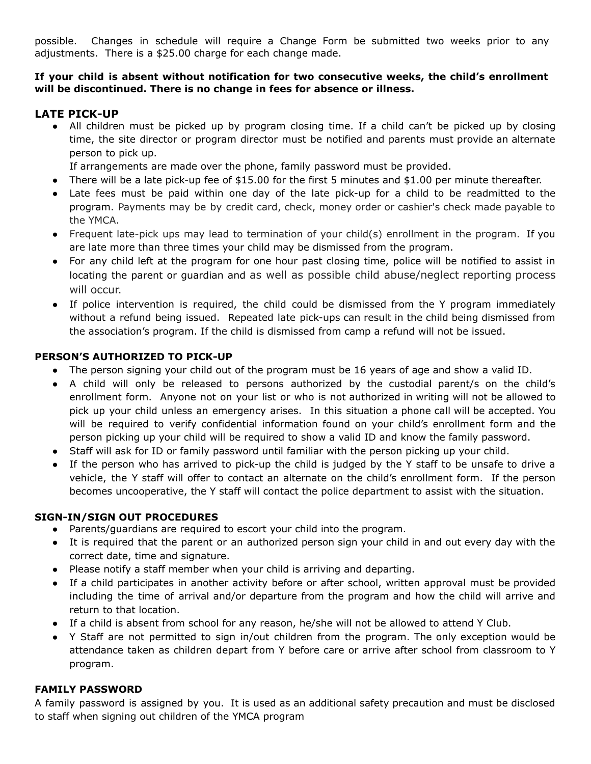possible. Changes in schedule will require a Change Form be submitted two weeks prior to any adjustments. There is a \$25.00 charge for each change made.

#### **If your child is absent without notification for two consecutive weeks, the child's enrollment will be discontinued. There is no change in fees for absence or illness.**

#### **LATE PICK-UP**

• All children must be picked up by program closing time. If a child can't be picked up by closing time, the site director or program director must be notified and parents must provide an alternate person to pick up.

If arrangements are made over the phone, family password must be provided.

- There will be a late pick-up fee of  $$15.00$  for the first 5 minutes and  $$1.00$  per minute thereafter.
- Late fees must be paid within one day of the late pick-up for a child to be readmitted to the program. Payments may be by credit card, check, money order or cashier's check made payable to the YMCA.
- Frequent late-pick ups may lead to termination of your child(s) enrollment in the program. If you are late more than three times your child may be dismissed from the program.
- For any child left at the program for one hour past closing time, police will be notified to assist in locating the parent or guardian and as well as possible child abuse/neglect reporting process will occur.
- If police intervention is required, the child could be dismissed from the Y program immediately without a refund being issued. Repeated late pick-ups can result in the child being dismissed from the association's program. If the child is dismissed from camp a refund will not be issued.

#### **PERSON'S AUTHORIZED TO PICK-UP**

- The person signing your child out of the program must be 16 years of age and show a valid ID.
- A child will only be released to persons authorized by the custodial parent/s on the child's enrollment form. Anyone not on your list or who is not authorized in writing will not be allowed to pick up your child unless an emergency arises. In this situation a phone call will be accepted. You will be required to verify confidential information found on your child's enrollment form and the person picking up your child will be required to show a valid ID and know the family password.
- Staff will ask for ID or family password until familiar with the person picking up your child.
- If the person who has arrived to pick-up the child is judged by the Y staff to be unsafe to drive a vehicle, the Y staff will offer to contact an alternate on the child's enrollment form. If the person becomes uncooperative, the Y staff will contact the police department to assist with the situation.

#### **SIGN-IN/SIGN OUT PROCEDURES**

- Parents/guardians are required to escort your child into the program.
- It is required that the parent or an authorized person sign your child in and out every day with the correct date, time and signature.
- Please notify a staff member when your child is arriving and departing.
- If a child participates in another activity before or after school, written approval must be provided including the time of arrival and/or departure from the program and how the child will arrive and return to that location.
- If a child is absent from school for any reason, he/she will not be allowed to attend Y Club.
- Y Staff are not permitted to sign in/out children from the program. The only exception would be attendance taken as children depart from Y before care or arrive after school from classroom to Y program.

### **FAMILY PASSWORD**

A family password is assigned by you. It is used as an additional safety precaution and must be disclosed to staff when signing out children of the YMCA program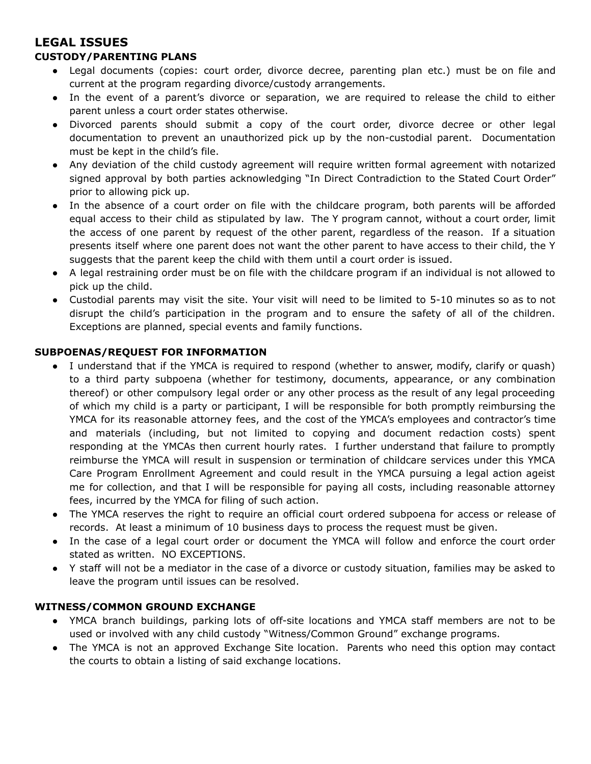# **LEGAL ISSUES**

#### **CUSTODY/PARENTING PLANS**

- Legal documents (copies: court order, divorce decree, parenting plan etc.) must be on file and current at the program regarding divorce/custody arrangements.
- In the event of a parent's divorce or separation, we are required to release the child to either parent unless a court order states otherwise.
- Divorced parents should submit a copy of the court order, divorce decree or other legal documentation to prevent an unauthorized pick up by the non-custodial parent. Documentation must be kept in the child's file.
- Any deviation of the child custody agreement will require written formal agreement with notarized signed approval by both parties acknowledging "In Direct Contradiction to the Stated Court Order" prior to allowing pick up.
- In the absence of a court order on file with the childcare program, both parents will be afforded equal access to their child as stipulated by law. The Y program cannot, without a court order, limit the access of one parent by request of the other parent, regardless of the reason. If a situation presents itself where one parent does not want the other parent to have access to their child, the Y suggests that the parent keep the child with them until a court order is issued.
- A legal restraining order must be on file with the childcare program if an individual is not allowed to pick up the child.
- Custodial parents may visit the site. Your visit will need to be limited to 5-10 minutes so as to not disrupt the child's participation in the program and to ensure the safety of all of the children. Exceptions are planned, special events and family functions.

#### **SUBPOENAS/REQUEST FOR INFORMATION**

- I understand that if the YMCA is required to respond (whether to answer, modify, clarify or quash) to a third party subpoena (whether for testimony, documents, appearance, or any combination thereof) or other compulsory legal order or any other process as the result of any legal proceeding of which my child is a party or participant, I will be responsible for both promptly reimbursing the YMCA for its reasonable attorney fees, and the cost of the YMCA's employees and contractor's time and materials (including, but not limited to copying and document redaction costs) spent responding at the YMCAs then current hourly rates. I further understand that failure to promptly reimburse the YMCA will result in suspension or termination of childcare services under this YMCA Care Program Enrollment Agreement and could result in the YMCA pursuing a legal action ageist me for collection, and that I will be responsible for paying all costs, including reasonable attorney fees, incurred by the YMCA for filing of such action.
- The YMCA reserves the right to require an official court ordered subpoena for access or release of records. At least a minimum of 10 business days to process the request must be given.
- In the case of a legal court order or document the YMCA will follow and enforce the court order stated as written. NO EXCEPTIONS.
- Y staff will not be a mediator in the case of a divorce or custody situation, families may be asked to leave the program until issues can be resolved.

#### **WITNESS/COMMON GROUND EXCHANGE**

- YMCA branch buildings, parking lots of off-site locations and YMCA staff members are not to be used or involved with any child custody "Witness/Common Ground" exchange programs.
- The YMCA is not an approved Exchange Site location. Parents who need this option may contact the courts to obtain a listing of said exchange locations.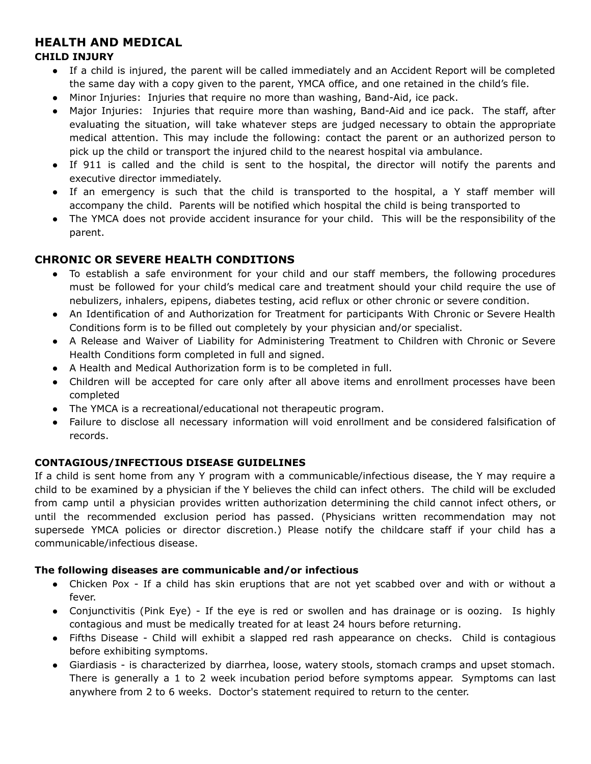# **HEALTH AND MEDICAL**

#### **CHILD INJURY**

- If a child is injured, the parent will be called immediately and an Accident Report will be completed the same day with a copy given to the parent, YMCA office, and one retained in the child's file.
- Minor Injuries: Injuries that require no more than washing, Band-Aid, ice pack.
- Major Injuries: Injuries that require more than washing, Band-Aid and ice pack. The staff, after evaluating the situation, will take whatever steps are judged necessary to obtain the appropriate medical attention. This may include the following: contact the parent or an authorized person to pick up the child or transport the injured child to the nearest hospital via ambulance.
- If 911 is called and the child is sent to the hospital, the director will notify the parents and executive director immediately.
- If an emergency is such that the child is transported to the hospital, a Y staff member will accompany the child. Parents will be notified which hospital the child is being transported to
- The YMCA does not provide accident insurance for your child. This will be the responsibility of the parent.

### **CHRONIC OR SEVERE HEALTH CONDITIONS**

- To establish a safe environment for your child and our staff members, the following procedures must be followed for your child's medical care and treatment should your child require the use of nebulizers, inhalers, epipens, diabetes testing, acid reflux or other chronic or severe condition.
- An Identification of and Authorization for Treatment for participants With Chronic or Severe Health Conditions form is to be filled out completely by your physician and/or specialist.
- A Release and Waiver of Liability for Administering Treatment to Children with Chronic or Severe Health Conditions form completed in full and signed.
- A Health and Medical Authorization form is to be completed in full.
- Children will be accepted for care only after all above items and enrollment processes have been completed
- The YMCA is a recreational/educational not therapeutic program.
- Failure to disclose all necessary information will void enrollment and be considered falsification of records.

### **CONTAGIOUS/INFECTIOUS DISEASE GUIDELINES**

If a child is sent home from any Y program with a communicable/infectious disease, the Y may require a child to be examined by a physician if the Y believes the child can infect others. The child will be excluded from camp until a physician provides written authorization determining the child cannot infect others, or until the recommended exclusion period has passed. (Physicians written recommendation may not supersede YMCA policies or director discretion.) Please notify the childcare staff if your child has a communicable/infectious disease.

#### **The following diseases are communicable and/or infectious**

- Chicken Pox If a child has skin eruptions that are not yet scabbed over and with or without a fever.
- Conjunctivitis (Pink Eye) If the eye is red or swollen and has drainage or is oozing. Is highly contagious and must be medically treated for at least 24 hours before returning.
- Fifths Disease Child will exhibit a slapped red rash appearance on checks. Child is contagious before exhibiting symptoms.
- Giardiasis is characterized by diarrhea, loose, watery stools, stomach cramps and upset stomach. There is generally a 1 to 2 week incubation period before symptoms appear. Symptoms can last anywhere from 2 to 6 weeks. Doctor's statement required to return to the center.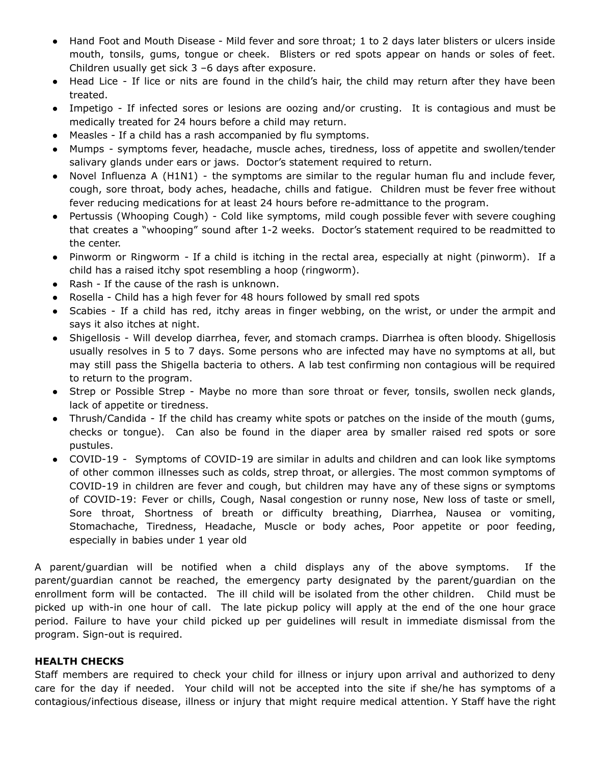- Hand Foot and Mouth Disease Mild fever and sore throat; 1 to 2 days later blisters or ulcers inside mouth, tonsils, gums, tongue or cheek. Blisters or red spots appear on hands or soles of feet. Children usually get sick 3 –6 days after exposure.
- Head Lice If lice or nits are found in the child's hair, the child may return after they have been treated.
- Impetigo If infected sores or lesions are oozing and/or crusting. It is contagious and must be medically treated for 24 hours before a child may return.
- Measles If a child has a rash accompanied by flu symptoms.
- Mumps symptoms fever, headache, muscle aches, tiredness, loss of appetite and swollen/tender salivary glands under ears or jaws. Doctor's statement required to return.
- Novel Influenza A (H1N1) the symptoms are similar to the regular human flu and include fever, cough, sore throat, body aches, headache, chills and fatigue. Children must be fever free without fever reducing medications for at least 24 hours before re-admittance to the program.
- Pertussis (Whooping Cough) Cold like symptoms, mild cough possible fever with severe coughing that creates a "whooping" sound after 1-2 weeks. Doctor's statement required to be readmitted to the center.
- Pinworm or Ringworm If a child is itching in the rectal area, especially at night (pinworm). If a child has a raised itchy spot resembling a hoop (ringworm).
- Rash If the cause of the rash is unknown.
- Rosella Child has a high fever for 48 hours followed by small red spots
- Scabies If a child has red, itchy areas in finger webbing, on the wrist, or under the armpit and says it also itches at night.
- Shigellosis Will develop diarrhea, fever, and stomach cramps. Diarrhea is often bloody. Shigellosis usually resolves in 5 to 7 days. Some persons who are infected may have no symptoms at all, but may still pass the Shigella bacteria to others. A lab test confirming non contagious will be required to return to the program.
- Strep or Possible Strep Maybe no more than sore throat or fever, tonsils, swollen neck glands, lack of appetite or tiredness.
- Thrush/Candida If the child has creamy white spots or patches on the inside of the mouth (gums, checks or tongue). Can also be found in the diaper area by smaller raised red spots or sore pustules.
- COVID-19 Symptoms of COVID-19 are similar in adults and children and can look like symptoms of other common illnesses such as colds, strep throat, or allergies. The most common symptoms of COVID-19 in children are fever and cough, but children may have any of these signs or symptoms of COVID-19: Fever or chills, Cough, Nasal congestion or runny nose, New loss of taste or smell, Sore throat, Shortness of breath or difficulty breathing, Diarrhea, Nausea or vomiting, Stomachache, Tiredness, Headache, Muscle or body aches, Poor appetite or poor feeding, especially in babies under 1 year old

A parent/guardian will be notified when a child displays any of the above symptoms. If the parent/guardian cannot be reached, the emergency party designated by the parent/guardian on the enrollment form will be contacted. The ill child will be isolated from the other children. Child must be picked up with-in one hour of call. The late pickup policy will apply at the end of the one hour grace period. Failure to have your child picked up per guidelines will result in immediate dismissal from the program. Sign-out is required.

#### **HEALTH CHECKS**

Staff members are required to check your child for illness or injury upon arrival and authorized to deny care for the day if needed. Your child will not be accepted into the site if she/he has symptoms of a contagious/infectious disease, illness or injury that might require medical attention. Y Staff have the right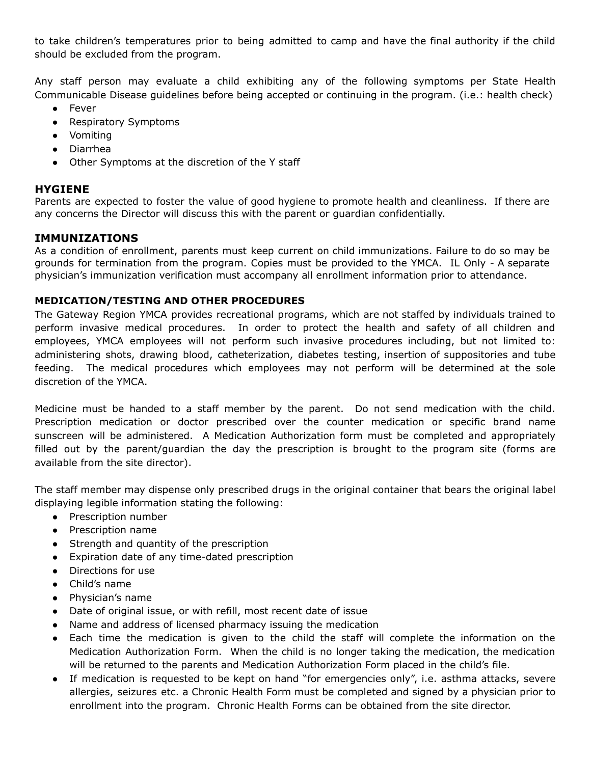to take children's temperatures prior to being admitted to camp and have the final authority if the child should be excluded from the program.

Any staff person may evaluate a child exhibiting any of the following symptoms per State Health Communicable Disease guidelines before being accepted or continuing in the program. (i.e.: health check)

- Fever
- Respiratory Symptoms
- Vomiting
- Diarrhea
- Other Symptoms at the discretion of the Y staff

#### **HYGIENE**

Parents are expected to foster the value of good hygiene to promote health and cleanliness. If there are any concerns the Director will discuss this with the parent or guardian confidentially.

#### **IMMUNIZATIONS**

As a condition of enrollment, parents must keep current on child immunizations. Failure to do so may be grounds for termination from the program. Copies must be provided to the YMCA. IL Only - A separate physician's immunization verification must accompany all enrollment information prior to attendance.

#### **MEDICATION/TESTING AND OTHER PROCEDURES**

The Gateway Region YMCA provides recreational programs, which are not staffed by individuals trained to perform invasive medical procedures. In order to protect the health and safety of all children and employees, YMCA employees will not perform such invasive procedures including, but not limited to: administering shots, drawing blood, catheterization, diabetes testing, insertion of suppositories and tube feeding. The medical procedures which employees may not perform will be determined at the sole discretion of the YMCA.

Medicine must be handed to a staff member by the parent. Do not send medication with the child. Prescription medication or doctor prescribed over the counter medication or specific brand name sunscreen will be administered. A Medication Authorization form must be completed and appropriately filled out by the parent/guardian the day the prescription is brought to the program site (forms are available from the site director).

The staff member may dispense only prescribed drugs in the original container that bears the original label displaying legible information stating the following:

- Prescription number
- Prescription name
- Strength and quantity of the prescription
- Expiration date of any time-dated prescription
- Directions for use
- Child's name
- Physician's name
- Date of original issue, or with refill, most recent date of issue
- Name and address of licensed pharmacy issuing the medication
- Each time the medication is given to the child the staff will complete the information on the Medication Authorization Form. When the child is no longer taking the medication, the medication will be returned to the parents and Medication Authorization Form placed in the child's file.
- If medication is requested to be kept on hand "for emergencies only", i.e. asthma attacks, severe allergies, seizures etc. a Chronic Health Form must be completed and signed by a physician prior to enrollment into the program. Chronic Health Forms can be obtained from the site director.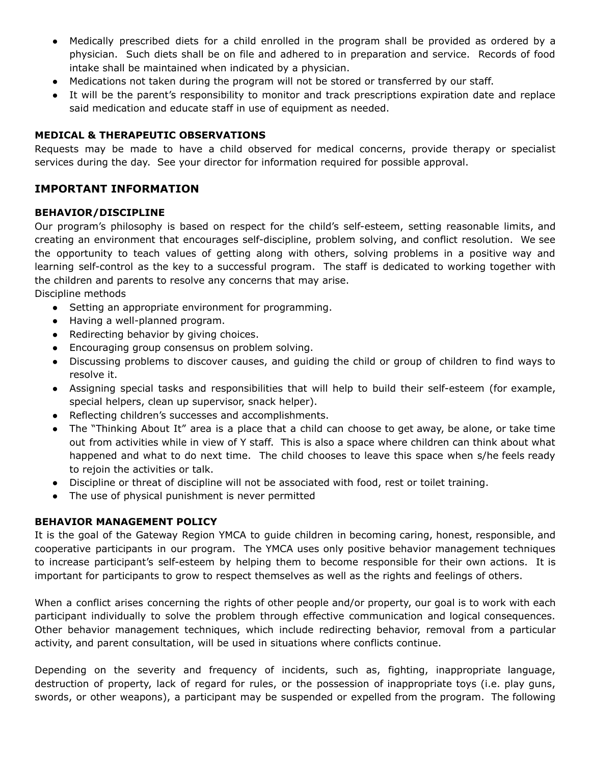- Medically prescribed diets for a child enrolled in the program shall be provided as ordered by a physician. Such diets shall be on file and adhered to in preparation and service. Records of food intake shall be maintained when indicated by a physician.
- Medications not taken during the program will not be stored or transferred by our staff.
- It will be the parent's responsibility to monitor and track prescriptions expiration date and replace said medication and educate staff in use of equipment as needed.

#### **MEDICAL & THERAPEUTIC OBSERVATIONS**

Requests may be made to have a child observed for medical concerns, provide therapy or specialist services during the day. See your director for information required for possible approval.

#### **IMPORTANT INFORMATION**

#### **BEHAVIOR/DISCIPLINE**

Our program's philosophy is based on respect for the child's self-esteem, setting reasonable limits, and creating an environment that encourages self-discipline, problem solving, and conflict resolution. We see the opportunity to teach values of getting along with others, solving problems in a positive way and learning self-control as the key to a successful program. The staff is dedicated to working together with the children and parents to resolve any concerns that may arise.

Discipline methods

- Setting an appropriate environment for programming.
- Having a well-planned program.
- Redirecting behavior by giving choices.
- Encouraging group consensus on problem solving.
- Discussing problems to discover causes, and guiding the child or group of children to find ways to resolve it.
- Assigning special tasks and responsibilities that will help to build their self-esteem (for example, special helpers, clean up supervisor, snack helper).
- Reflecting children's successes and accomplishments.
- The "Thinking About It" area is a place that a child can choose to get away, be alone, or take time out from activities while in view of Y staff. This is also a space where children can think about what happened and what to do next time. The child chooses to leave this space when s/he feels ready to rejoin the activities or talk.
- Discipline or threat of discipline will not be associated with food, rest or toilet training.
- The use of physical punishment is never permitted

#### **BEHAVIOR MANAGEMENT POLICY**

It is the goal of the Gateway Region YMCA to guide children in becoming caring, honest, responsible, and cooperative participants in our program. The YMCA uses only positive behavior management techniques to increase participant's self-esteem by helping them to become responsible for their own actions. It is important for participants to grow to respect themselves as well as the rights and feelings of others.

When a conflict arises concerning the rights of other people and/or property, our goal is to work with each participant individually to solve the problem through effective communication and logical consequences. Other behavior management techniques, which include redirecting behavior, removal from a particular activity, and parent consultation, will be used in situations where conflicts continue.

Depending on the severity and frequency of incidents, such as, fighting, inappropriate language, destruction of property, lack of regard for rules, or the possession of inappropriate toys (i.e. play guns, swords, or other weapons), a participant may be suspended or expelled from the program. The following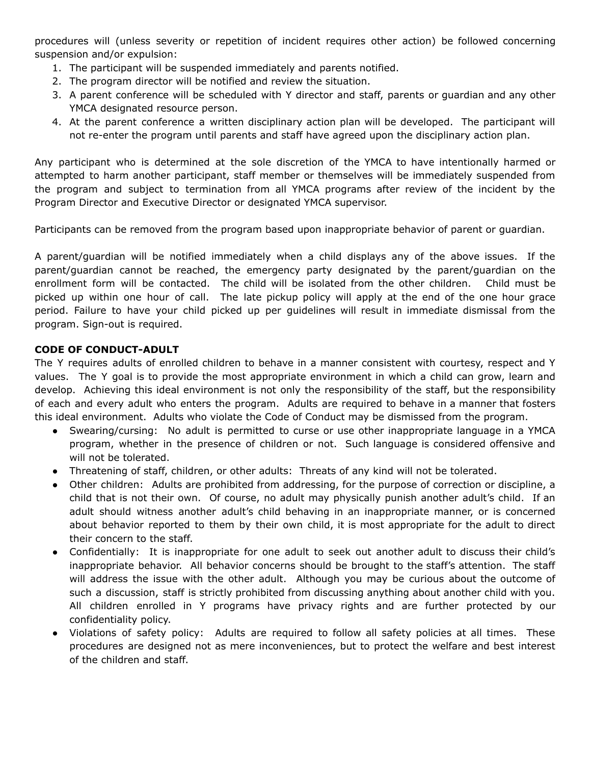procedures will (unless severity or repetition of incident requires other action) be followed concerning suspension and/or expulsion:

- 1. The participant will be suspended immediately and parents notified.
- 2. The program director will be notified and review the situation.
- 3. A parent conference will be scheduled with Y director and staff, parents or guardian and any other YMCA designated resource person.
- 4. At the parent conference a written disciplinary action plan will be developed. The participant will not re-enter the program until parents and staff have agreed upon the disciplinary action plan.

Any participant who is determined at the sole discretion of the YMCA to have intentionally harmed or attempted to harm another participant, staff member or themselves will be immediately suspended from the program and subject to termination from all YMCA programs after review of the incident by the Program Director and Executive Director or designated YMCA supervisor.

Participants can be removed from the program based upon inappropriate behavior of parent or guardian.

A parent/guardian will be notified immediately when a child displays any of the above issues. If the parent/guardian cannot be reached, the emergency party designated by the parent/guardian on the enrollment form will be contacted. The child will be isolated from the other children. Child must be picked up within one hour of call. The late pickup policy will apply at the end of the one hour grace period. Failure to have your child picked up per guidelines will result in immediate dismissal from the program. Sign-out is required.

#### **CODE OF CONDUCT-ADULT**

The Y requires adults of enrolled children to behave in a manner consistent with courtesy, respect and Y values. The Y goal is to provide the most appropriate environment in which a child can grow, learn and develop. Achieving this ideal environment is not only the responsibility of the staff, but the responsibility of each and every adult who enters the program. Adults are required to behave in a manner that fosters this ideal environment. Adults who violate the Code of Conduct may be dismissed from the program.

- Swearing/cursing: No adult is permitted to curse or use other inappropriate language in a YMCA program, whether in the presence of children or not. Such language is considered offensive and will not be tolerated.
- Threatening of staff, children, or other adults: Threats of any kind will not be tolerated.
- Other children: Adults are prohibited from addressing, for the purpose of correction or discipline, a child that is not their own. Of course, no adult may physically punish another adult's child. If an adult should witness another adult's child behaving in an inappropriate manner, or is concerned about behavior reported to them by their own child, it is most appropriate for the adult to direct their concern to the staff.
- Confidentially: It is inappropriate for one adult to seek out another adult to discuss their child's inappropriate behavior. All behavior concerns should be brought to the staff's attention. The staff will address the issue with the other adult. Although you may be curious about the outcome of such a discussion, staff is strictly prohibited from discussing anything about another child with you. All children enrolled in Y programs have privacy rights and are further protected by our confidentiality policy.
- Violations of safety policy: Adults are required to follow all safety policies at all times. These procedures are designed not as mere inconveniences, but to protect the welfare and best interest of the children and staff.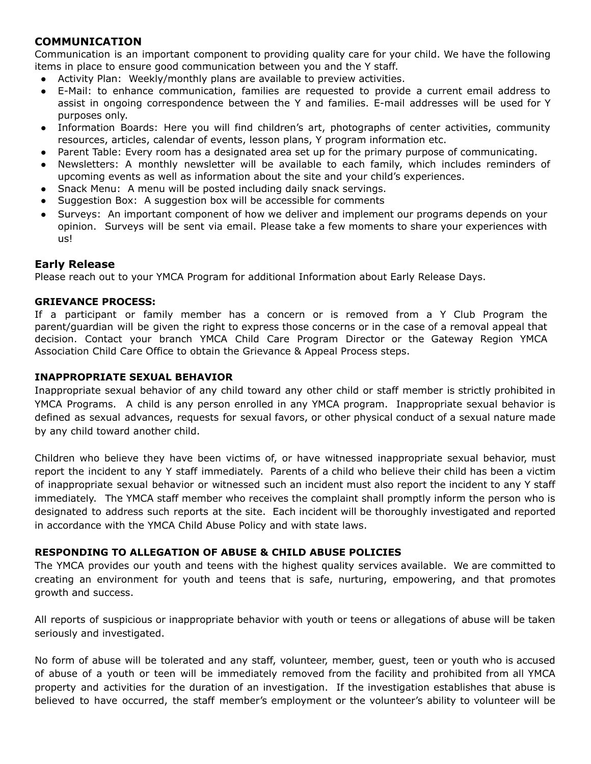#### **COMMUNICATION**

Communication is an important component to providing quality care for your child. We have the following items in place to ensure good communication between you and the Y staff.

- Activity Plan: Weekly/monthly plans are available to preview activities.
- E-Mail: to enhance communication, families are requested to provide a current email address to assist in ongoing correspondence between the Y and families. E-mail addresses will be used for Y purposes only.
- Information Boards: Here you will find children's art, photographs of center activities, community resources, articles, calendar of events, lesson plans, Y program information etc.
- Parent Table: Every room has a designated area set up for the primary purpose of communicating.
- Newsletters: A monthly newsletter will be available to each family, which includes reminders of upcoming events as well as information about the site and your child's experiences.
- Snack Menu: A menu will be posted including daily snack servings.
- Suggestion Box: A suggestion box will be accessible for comments
- Surveys: An important component of how we deliver and implement our programs depends on your opinion. Surveys will be sent via email. Please take a few moments to share your experiences with us!

#### **Early Release**

Please reach out to your YMCA Program for additional Information about Early Release Days.

#### **GRIEVANCE PROCESS:**

If a participant or family member has a concern or is removed from a Y Club Program the parent/guardian will be given the right to express those concerns or in the case of a removal appeal that decision. Contact your branch YMCA Child Care Program Director or the Gateway Region YMCA Association Child Care Office to obtain the Grievance & Appeal Process steps.

#### **INAPPROPRIATE SEXUAL BEHAVIOR**

Inappropriate sexual behavior of any child toward any other child or staff member is strictly prohibited in YMCA Programs. A child is any person enrolled in any YMCA program. Inappropriate sexual behavior is defined as sexual advances, requests for sexual favors, or other physical conduct of a sexual nature made by any child toward another child.

Children who believe they have been victims of, or have witnessed inappropriate sexual behavior, must report the incident to any Y staff immediately. Parents of a child who believe their child has been a victim of inappropriate sexual behavior or witnessed such an incident must also report the incident to any Y staff immediately. The YMCA staff member who receives the complaint shall promptly inform the person who is designated to address such reports at the site. Each incident will be thoroughly investigated and reported in accordance with the YMCA Child Abuse Policy and with state laws.

#### **RESPONDING TO ALLEGATION OF ABUSE & CHILD ABUSE POLICIES**

The YMCA provides our youth and teens with the highest quality services available. We are committed to creating an environment for youth and teens that is safe, nurturing, empowering, and that promotes growth and success.

All reports of suspicious or inappropriate behavior with youth or teens or allegations of abuse will be taken seriously and investigated.

No form of abuse will be tolerated and any staff, volunteer, member, guest, teen or youth who is accused of abuse of a youth or teen will be immediately removed from the facility and prohibited from all YMCA property and activities for the duration of an investigation. If the investigation establishes that abuse is believed to have occurred, the staff member's employment or the volunteer's ability to volunteer will be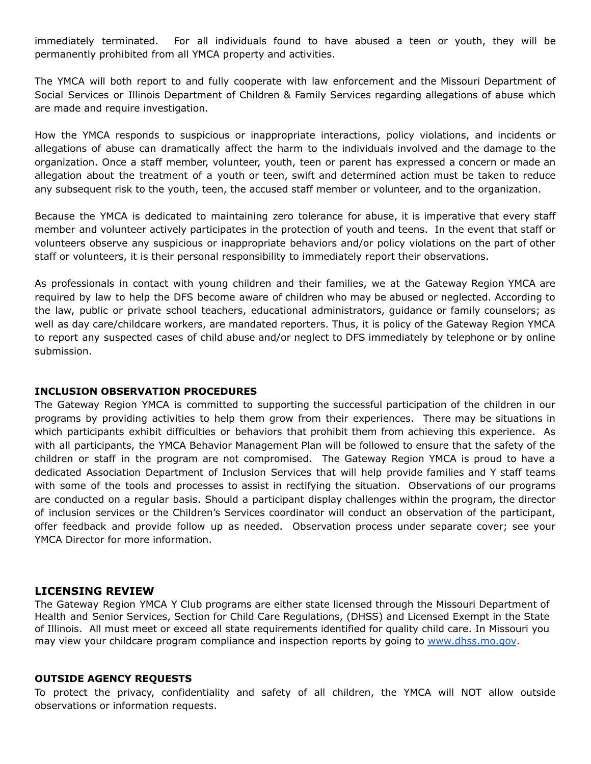immediately terminated. For all individuals found to have abused a teen or youth, they will be permanently prohibited from all YMCA property and activities.

The YMCA will both report to and fully cooperate with law enforcement and the Missouri Department of Social Services or Illinois Department of Children & Family Services regarding allegations of abuse which are made and require investigation.

How the YMCA responds to suspicious or inappropriate interactions, policy violations, and incidents or allegations of abuse can dramatically affect the harm to the individuals involved and the damage to the organization. Once a staff member, volunteer, youth, teen or parent has expressed a concern or made an allegation about the treatment of a youth or teen, swift and determined action must be taken to reduce any subsequent risk to the youth, teen, the accused staff member or volunteer, and to the organization.

Because the YMCA is dedicated to maintaining zero tolerance for abuse, it is imperative that every staff member and volunteer actively participates in the protection of youth and teens. In the event that staff or volunteers observe any suspicious or inappropriate behaviors and/or policy violations on the part of other staff or volunteers, it is their personal responsibility to immediately report their observations.

As professionals in contact with young children and their families, we at the Gateway Region YMCA are required by law to help the DFS become aware of children who may be abused or neglected. According to the law, public or private school teachers, educational administrators, guidance or family counselors; as well as day care/childcare workers, are mandated reporters. Thus, it is policy of the Gateway Region YMCA to report any suspected cases of child abuse and/or neglect to DFS immediately by telephone or by online submission.

#### **INCLUSION OBSERVATION PROCEDURES**

The Gateway Region YMCA is committed to supporting the successful participation of the children in our programs by providing activities to help them grow from their experiences. There may be situations in which participants exhibit difficulties or behaviors that prohibit them from achieving this experience. As with all participants, the YMCA Behavior Management Plan will be followed to ensure that the safety of the children or staff in the program are not compromised. The Gateway Region YMCA is proud to have a dedicated Association Department of Inclusion Services that will help provide families and Y staff teams with some of the tools and processes to assist in rectifying the situation. Observations of our programs are conducted on a regular basis. Should a participant display challenges within the program, the director of inclusion services or the Children's Services coordinator will conduct an observation of the participant, offer feedback and provide follow up as needed. Observation process under separate cover; see your YMCA Director for more information.

#### **LICENSING REVIEW**

The Gateway Region YMCA Y Club programs are either state licensed through the Missouri Department of Health and Senior Services, Section for Child Care Regulations, (DHSS) and Licensed Exempt in the State of Illinois. All must meet or exceed all state requirements identified for quality child care. In Missouri you may view your childcare program compliance and inspection reports by going to [www.dhss.mo.gov](http://www.dhss.mo.gov/).

#### **OUTSIDE AGENCY REQUESTS**

To protect the privacy, confidentiality and safety of all children, the YMCA will NOT allow outside observations or information requests.